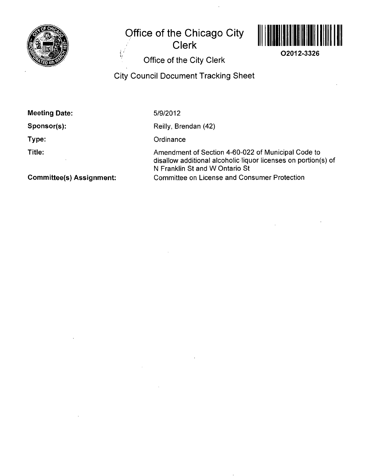

**Office of the Chicago City** 

**Clerk** 



**02012-3326** 

**• Office of the City Clerk** 

**City Council Document Tracking Sheet** 

**Meeting Date:** 

**Sponsor(s):** 

**Type:** 

**Title:** 

5/9/2012

Reilly, Brendan (42)

**Ordinance** 

Amendment of Section 4-60-022 of Municipal Code to disallow additional alcoholic liquor licenses on portion(s) of N Franklin St and W Ontario St Committee on License and Consumer Protection

**Committee(s) Assignment:**